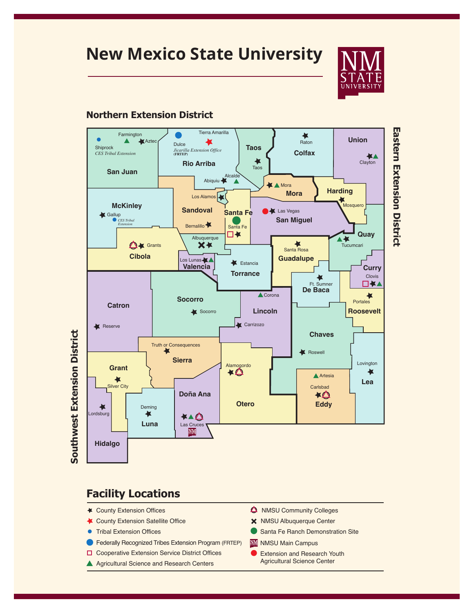### **New Mexico State University**



#### **Northern Extension District**



# **Eastern Extension District Eastern Extension District**

#### **Facility Locations**

- County Extension Offices
- County Extension Satellite Office
- **•** Tribal Extension Offices
- Federally Recognized Tribes Extension Program (FRTEP)
- □ Cooperative Extension Service District Offices
- A Agricultural Science and Research Centers
- **A** NMSU Community Colleges
- NMSU Albuquerque Center
- Santa Fe Ranch Demonstration Site
- **WM** NMSU Main Campus
- Extension and Research Youth Agricultural Science Center